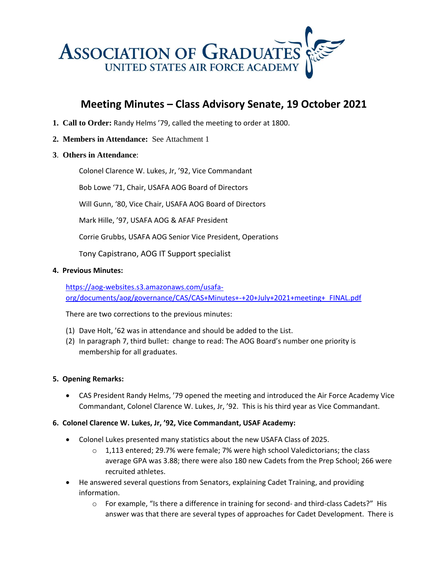

# **Meeting Minutes – Class Advisory Senate, 19 October 2021**

- **1. Call to Order:** Randy Helms '79, called the meeting to order at 1800.
- **2. Members in Attendance:** See Attachment 1
- **3**. **Others in Attendance**:

Colonel Clarence W. Lukes, Jr, '92, Vice Commandant

Bob Lowe '71, Chair, USAFA AOG Board of Directors

Will Gunn, '80, Vice Chair, USAFA AOG Board of Directors

Mark Hille, '97, USAFA AOG & AFAF President

Corrie Grubbs, USAFA AOG Senior Vice President, Operations

Tony Capistrano, AOG IT Support specialist

#### **4. Previous Minutes:**

[https://aog-websites.s3.amazonaws.com/usafa](https://aog-websites.s3.amazonaws.com/usafa-org/documents/aog/governance/CAS/CAS+Minutes+-+20+July+2021+meeting+_FINAL.pdf)[org/documents/aog/governance/CAS/CAS+Minutes+-+20+July+2021+meeting+\\_FINAL.pdf](https://aog-websites.s3.amazonaws.com/usafa-org/documents/aog/governance/CAS/CAS+Minutes+-+20+July+2021+meeting+_FINAL.pdf)

There are two corrections to the previous minutes:

- (1) Dave Holt, '62 was in attendance and should be added to the List.
- (2) In paragraph 7, third bullet: change to read: The AOG Board's number one priority is membership for all graduates.

#### **5. Opening Remarks:**

• CAS President Randy Helms, '79 opened the meeting and introduced the Air Force Academy Vice Commandant, Colonel Clarence W. Lukes, Jr, '92. This is his third year as Vice Commandant.

#### **6. Colonel Clarence W. Lukes, Jr, '92, Vice Commandant, USAF Academy:**

- Colonel Lukes presented many statistics about the new USAFA Class of 2025.
	- $\circ$  1,113 entered; 29.7% were female; 7% were high school Valedictorians; the class average GPA was 3.88; there were also 180 new Cadets from the Prep School; 266 were recruited athletes.
- He answered several questions from Senators, explaining Cadet Training, and providing information.
	- o For example, "Is there a difference in training for second- and third-class Cadets?" His answer was that there are several types of approaches for Cadet Development. There is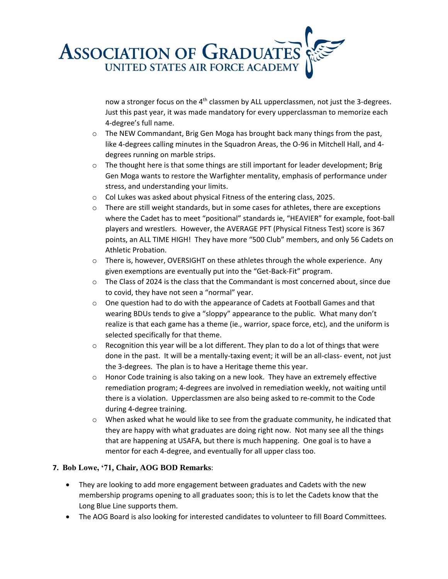

now a stronger focus on the 4<sup>th</sup> classmen by ALL upperclassmen, not just the 3-degrees. Just this past year, it was made mandatory for every upperclassman to memorize each 4-degree's full name.

- $\circ$  The NEW Commandant, Brig Gen Moga has brought back many things from the past, like 4-degrees calling minutes in the Squadron Areas, the O-96 in Mitchell Hall, and 4 degrees running on marble strips.
- $\circ$  The thought here is that some things are still important for leader development; Brig Gen Moga wants to restore the Warfighter mentality, emphasis of performance under stress, and understanding your limits.
- o Col Lukes was asked about physical Fitness of the entering class, 2025.
- $\circ$  There are still weight standards, but in some cases for athletes, there are exceptions where the Cadet has to meet "positional" standards ie, "HEAVIER" for example, foot-ball players and wrestlers. However, the AVERAGE PFT (Physical Fitness Test) score is 367 points, an ALL TIME HIGH! They have more "500 Club" members, and only 56 Cadets on Athletic Probation.
- $\circ$  There is, however, OVERSIGHT on these athletes through the whole experience. Any given exemptions are eventually put into the "Get-Back-Fit" program.
- $\circ$  The Class of 2024 is the class that the Commandant is most concerned about, since due to covid, they have not seen a "normal" year.
- $\circ$  One question had to do with the appearance of Cadets at Football Games and that wearing BDUs tends to give a "sloppy" appearance to the public. What many don't realize is that each game has a theme (ie., warrior, space force, etc), and the uniform is selected specifically for that theme.
- $\circ$  Recognition this year will be a lot different. They plan to do a lot of things that were done in the past. It will be a mentally-taxing event; it will be an all-class- event, not just the 3-degrees. The plan is to have a Heritage theme this year.
- $\circ$  Honor Code training is also taking on a new look. They have an extremely effective remediation program; 4-degrees are involved in remediation weekly, not waiting until there is a violation. Upperclassmen are also being asked to re-commit to the Code during 4-degree training.
- $\circ$  When asked what he would like to see from the graduate community, he indicated that they are happy with what graduates are doing right now. Not many see all the things that are happening at USAFA, but there is much happening. One goal is to have a mentor for each 4-degree, and eventually for all upper class too.

#### **7. Bob Lowe, '71, Chair, AOG BOD Remarks**:

- They are looking to add more engagement between graduates and Cadets with the new membership programs opening to all graduates soon; this is to let the Cadets know that the Long Blue Line supports them.
- The AOG Board is also looking for interested candidates to volunteer to fill Board Committees.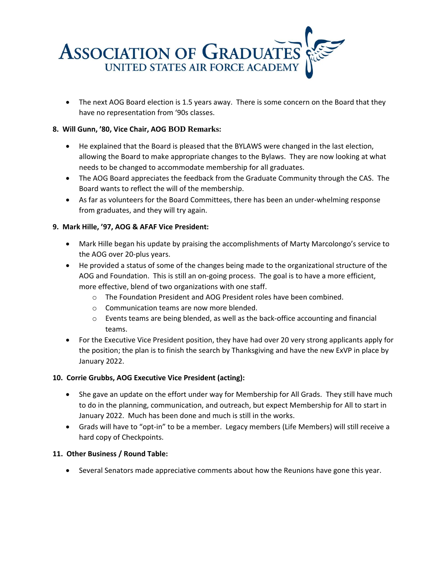

• The next AOG Board election is 1.5 years away. There is some concern on the Board that they have no representation from '90s classes.

## **8. Will Gunn, '80, Vice Chair, AOG BOD Remarks:**

- He explained that the Board is pleased that the BYLAWS were changed in the last election, allowing the Board to make appropriate changes to the Bylaws. They are now looking at what needs to be changed to accommodate membership for all graduates.
- The AOG Board appreciates the feedback from the Graduate Community through the CAS. The Board wants to reflect the will of the membership.
- As far as volunteers for the Board Committees, there has been an under-whelming response from graduates, and they will try again.

## **9. Mark Hille, '97, AOG & AFAF Vice President:**

- Mark Hille began his update by praising the accomplishments of Marty Marcolongo's service to the AOG over 20-plus years.
- He provided a status of some of the changes being made to the organizational structure of the AOG and Foundation. This is still an on-going process. The goal is to have a more efficient, more effective, blend of two organizations with one staff.
	- o The Foundation President and AOG President roles have been combined.
	- o Communication teams are now more blended.
	- $\circ$  Events teams are being blended, as well as the back-office accounting and financial teams.
- For the Executive Vice President position, they have had over 20 very strong applicants apply for the position; the plan is to finish the search by Thanksgiving and have the new ExVP in place by January 2022.

#### **10. Corrie Grubbs, AOG Executive Vice President (acting):**

- She gave an update on the effort under way for Membership for All Grads. They still have much to do in the planning, communication, and outreach, but expect Membership for All to start in January 2022. Much has been done and much is still in the works.
- Grads will have to "opt-in" to be a member. Legacy members (Life Members) will still receive a hard copy of Checkpoints.

#### **11. Other Business / Round Table:**

• Several Senators made appreciative comments about how the Reunions have gone this year.